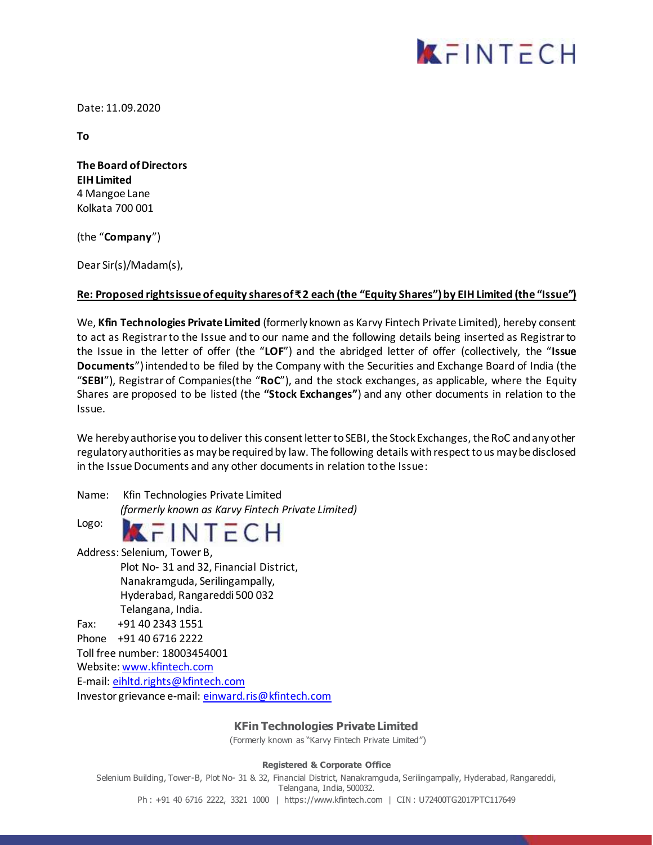

Date: 11.09.2020

**To**

**The Board of Directors EIH Limited** 4 Mangoe Lane Kolkata 700 001

(the "**Company**")

Dear Sir(s)/Madam(s),

### **Re: Proposed rights issue of equity shares of ₹ 2 each (the "Equity Shares") by EIH Limited (the "Issue")**

We, **Kfin Technologies Private Limited** (formerly known as Karvy Fintech Private Limited), hereby consent to act as Registrar to the Issue and to our name and the following details being inserted as Registrar to the Issue in the letter of offer (the "**LOF**") and the abridged letter of offer (collectively, the "**Issue Documents**") intended to be filed by the Company with the Securities and Exchange Board of India (the "**SEBI**"), Registrar of Companies(the "**RoC**"), and the stock exchanges, as applicable, where the Equity Shares are proposed to be listed (the **"Stock Exchanges"**) and any other documents in relation to the Issue.

We hereby authorise you to deliver this consent letter to SEBI, the Stock Exchanges, the RoC and any other regulatory authorities as may be required by law. The following details with respect to us may be disclosed in the Issue Documents and any other documents in relation to the Issue:

Name: Kfin Technologies Private Limited *(formerly known as Karvy Fintech Private Limited)*



Address: Selenium, Tower B, Plot No- 31 and 32, Financial District, Nanakramguda, Serilingampally, Hyderabad, Rangareddi 500 032 Telangana, India. Fax: +91 40 2343 1551

Phone +91 40 6716 2222

Toll free number: 18003454001

Website[: www.kfintech.com](http://www.kfintech.com/)

E-mail: [eihltd.rights@kfintech.com](mailto:eihltd.rights@kfintech.com)

Investor grievance e-mail[: einward.ris@kfintech.com](mailto:einward.ris@kfintech.com)

# **KFin Technologies Private Limited**

(Formerly known as "Karvy Fintech Private Limited")

#### **Registered & Corporate Office**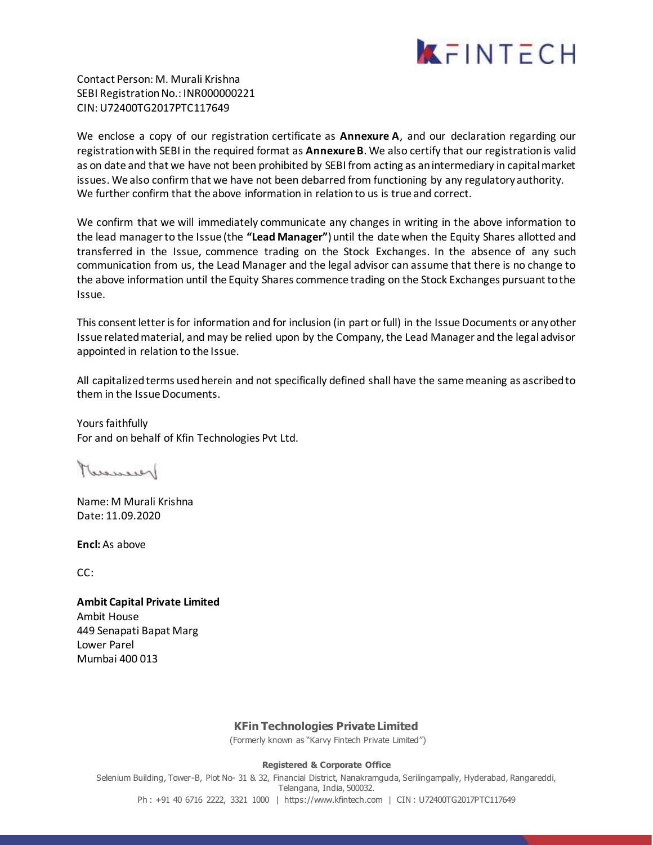

Contact Person: M. Murali Krishna SEBI Registration No.: INR000000221 CIN: U72400TG2017PTC117649

We enclose a copy of our registration certificate as **Annexure A**, and our declaration regarding our registration with SEBI in the required format as **Annexure B**. We also certify that our registration is valid as on date and that we have not been prohibited by SEBI from acting as an intermediary in capital market issues. We also confirm that we have not been debarred from functioning by any regulatory authority. We further confirm that the above information in relation to us is true and correct.

We confirm that we will immediately communicate any changes in writing in the above information to the lead manager to the Issue (the **"Lead Manager"**) until the date when the Equity Shares allotted and transferred in the Issue, commence trading on the Stock Exchanges. In the absence of any such communication from us, the Lead Manager and the legal advisor can assume that there is no change to the above information until the Equity Shares commence trading on the Stock Exchanges pursuant to the Issue.

This consent letter is for information and for inclusion (in part or full) in the Issue Documents or any other Issue related material, and may be relied upon by the Company, the Lead Manager and the legal advisor appointed in relation to the Issue.

All capitalized terms used herein and not specifically defined shall have the same meaning as ascribed to them in the Issue Documents.

Yours faithfully For and on behalf of Kfin Technologies Pvt Ltd.

Mussolen

Name: M Murali Krishna Date: 11.09.2020

**Encl:** As above

CC:

**Ambit Capital Private Limited** Ambit House 449 Senapati Bapat Marg Lower Parel Mumbai 400 013

### **KFin Technologies Private Limited**

(Formerly known as "Karvy Fintech Private Limited")

#### **Registered & Corporate Office**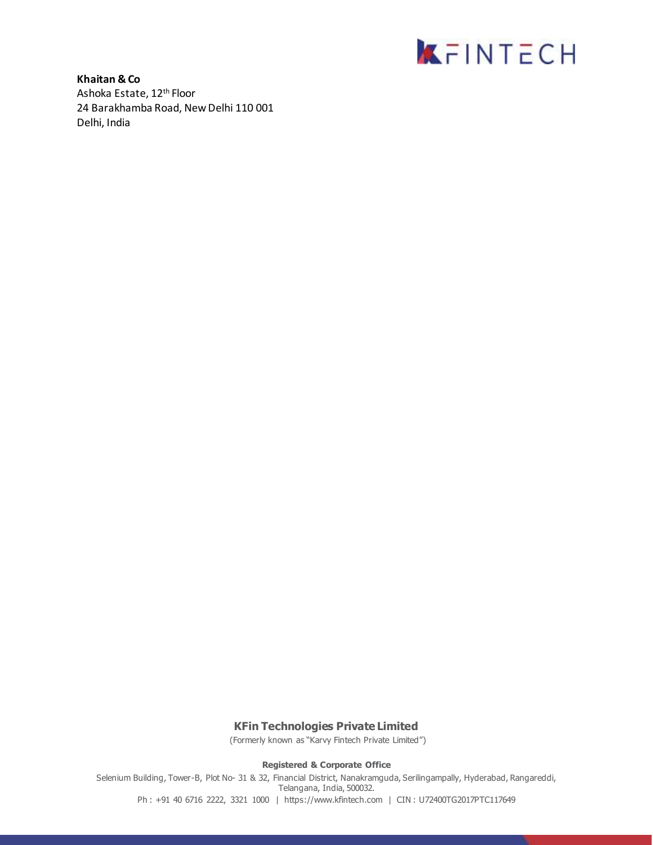

**Khaitan & Co** Ashoka Estate, 12th Floor 24 Barakhamba Road, New Delhi 110 001 Delhi, India

## **KFin Technologies Private Limited**

(Formerly known as "Karvy Fintech Private Limited")

#### **Registered & Corporate Office**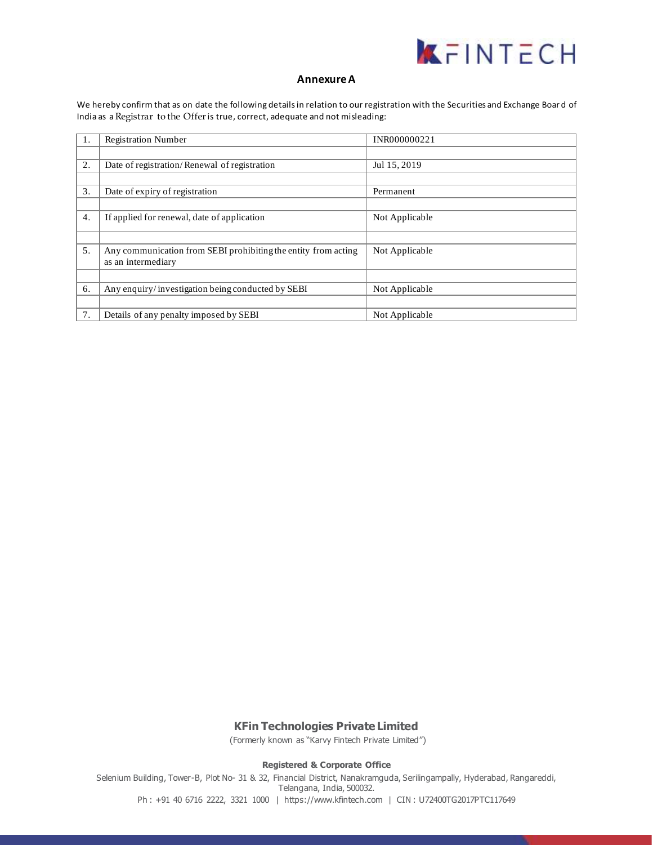

#### **Annexure A**

We hereby confirm that as on date the following details in relation to our registration with the Securities and Exchange Boar d of India as a Registrar to the Offeris true, correct, adequate and not misleading:

|                  | <b>Registration Number</b>                                                           | INR000000221   |
|------------------|--------------------------------------------------------------------------------------|----------------|
|                  |                                                                                      |                |
| 2.               | Date of registration/Renewal of registration                                         | Jul 15, 2019   |
|                  |                                                                                      |                |
| 3.               | Date of expiry of registration                                                       | Permanent      |
|                  |                                                                                      |                |
| $\overline{4}$ . | If applied for renewal, date of application                                          | Not Applicable |
|                  |                                                                                      |                |
| 5.               | Any communication from SEBI prohibiting the entity from acting<br>as an intermediary | Not Applicable |
|                  |                                                                                      |                |
| 6.               | Any enquiry/investigation being conducted by SEBI                                    | Not Applicable |
|                  |                                                                                      |                |
|                  | Details of any penalty imposed by SEBI                                               | Not Applicable |

### **KFin Technologies Private Limited**

(Formerly known as "Karvy Fintech Private Limited")

#### **Registered & Corporate Office**